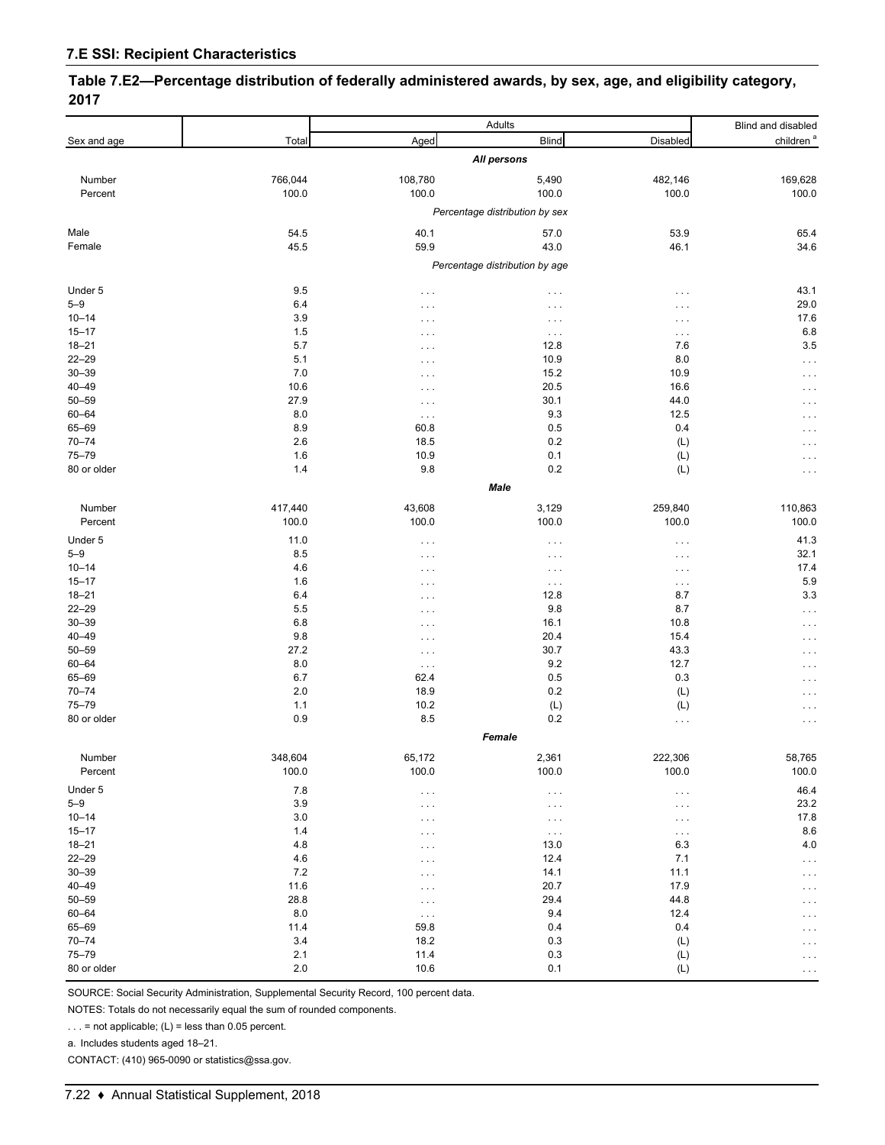**Table 7.E2—Percentage distribution of federally administered awards, by sex, age, and eligibility category, 2017**

|                        | Adults     |                      |                                | Blind and disabled   |                       |
|------------------------|------------|----------------------|--------------------------------|----------------------|-----------------------|
| Sex and age            | Total      | Aged                 | <b>Blind</b>                   | Disabled             | children <sup>a</sup> |
|                        |            |                      | All persons                    |                      |                       |
| Number                 | 766,044    | 108,780              | 5,490                          | 482,146              | 169,628               |
| Percent                | 100.0      | 100.0                | 100.0                          | 100.0                | 100.0                 |
|                        |            |                      | Percentage distribution by sex |                      |                       |
| Male                   | 54.5       | 40.1                 | 57.0                           | 53.9                 | 65.4                  |
| Female                 | 45.5       | 59.9                 | 43.0                           | 46.1                 | 34.6                  |
|                        |            |                      | Percentage distribution by age |                      |                       |
|                        |            |                      |                                |                      |                       |
| Under 5<br>$5 - 9$     | 9.5        | $\sim$ $\sim$ $\sim$ | $\cdots$                       | $\cdots$             | 43.1                  |
|                        | 6.4        | $\cdots$             | .                              | $\cdots$             | 29.0                  |
| $10 - 14$<br>$15 - 17$ | 3.9        | $\cdots$             | $\cdots$                       | $\ldots$ .           | 17.6                  |
| $18 - 21$              | 1.5<br>5.7 | $\cdots$             | $\sim$ $\sim$ $\sim$           | $\sim$ $\sim$ $\sim$ | 6.8<br>3.5            |
| $22 - 29$              |            | $\cdots$             | 12.8                           | 7.6                  |                       |
|                        | 5.1        | $\cdots$             | 10.9                           | 8.0                  | .                     |
| $30 - 39$              | 7.0        | $\cdots$             | 15.2                           | 10.9                 | .                     |
| $40 - 49$              | 10.6       | $\cdots$             | 20.5                           | 16.6                 | .                     |
| $50 - 59$              | 27.9       | $\cdots$             | 30.1                           | 44.0                 | $\cdots$              |
| 60-64                  | 8.0        | $\ldots$             | 9.3                            | 12.5                 | $\cdots$              |
| 65-69                  | 8.9        | 60.8                 | 0.5                            | 0.4                  | .                     |
| $70 - 74$              | 2.6        | 18.5                 | 0.2                            | (L)                  | $\cdots$              |
| $75 - 79$              | 1.6        | 10.9                 | 0.1                            | (L)                  | .                     |
| 80 or older            | 1.4        | 9.8                  | 0.2                            | (L)                  | $\cdots$              |
|                        |            |                      | Male                           |                      |                       |
| Number                 | 417,440    | 43,608               | 3,129                          | 259,840              | 110,863               |
| Percent                | 100.0      | 100.0                | 100.0                          | 100.0                | 100.0                 |
| Under 5                | 11.0       | $\sim$ $\sim$ $\sim$ | $\cdots$                       | $\sim$ $\sim$ $\sim$ | 41.3                  |
| $5 - 9$                | 8.5        | $\cdots$             | $\cdots$                       | $\sim$ $\sim$ $\sim$ | 32.1                  |
| $10 - 14$              | 4.6        | $\cdots$             | $\cdots$                       | $\ldots$             | 17.4                  |
| $15 - 17$              | 1.6        | $\cdots$             | $\sim$ $\sim$ $\sim$           | $\ldots$             | 5.9                   |
| $18 - 21$              | 6.4        | $\sim$ $\sim$ $\sim$ | 12.8                           | 8.7                  | 3.3                   |
| $22 - 29$              | 5.5        | $\cdots$             | 9.8                            | 8.7                  | $\ddotsc$             |
| $30 - 39$              | 6.8        | $\sim$ $\sim$ $\sim$ | 16.1                           | 10.8                 | .                     |
| $40 - 49$              | 9.8        | $\cdots$             | 20.4                           | 15.4                 | $\cdots$              |
| $50 - 59$              | 27.2       | $\sim$ $\sim$ $\sim$ | 30.7                           | 43.3                 | $\cdots$              |
| 60-64                  | 8.0        | $\ldots$             | 9.2                            | 12.7                 | .                     |
| 65-69                  | 6.7        | 62.4                 | 0.5                            | 0.3                  | $\cdots$              |
| $70 - 74$              | 2.0        | 18.9                 | 0.2                            | (L)                  | .                     |
| 75-79                  | 1.1        | 10.2                 | (L)                            | (L)                  | .                     |
| 80 or older            | 0.9        | 8.5                  | 0.2                            | $\sim$ $\sim$ $\sim$ | .                     |
|                        |            |                      |                                |                      |                       |
| Number                 | 348,604    | 65,172               | 2,361                          | 222,306              | 58,765                |
| Percent                | 100.0      | 100.0                | 100.0                          | 100.0                | 100.0                 |
| Under 5                | 7.8        | $\sim$ $\sim$ $\sim$ | $\cdots$                       | $\sim$ $\sim$ $\sim$ | 46.4                  |
| $5 - 9$                | 3.9        | $\cdots$             | $\cdots$                       | $\ldots$ .           | 23.2                  |
| $10 - 14$              | 3.0        | $\cdots$             | $\ldots$                       | $\ldots$ .           | 17.8                  |
| $15 - 17$              | 1.4        | $\sim$ $\sim$ $\sim$ | $\sim$ $\sim$ $\sim$           | $\sim$ $\sim$ $\sim$ | 8.6                   |
| $18 - 21$              | 4.8        | $\cdots$             | 13.0                           | 6.3                  | 4.0                   |
| $22 - 29$              | 4.6        | $\cdots$             | 12.4                           | 7.1                  | $\cdots$              |
| $30 - 39$              | 7.2        | $\cdots$             | 14.1                           | 11.1                 | .                     |
| $40 - 49$              | 11.6       | $\sim$ $\sim$ $\sim$ | 20.7                           | 17.9                 | .                     |
| $50 - 59$              | 28.8       | $\cdots$             | 29.4                           | 44.8                 | $\cdots$              |
| 60-64                  | 8.0        | $\ldots$             | 9.4                            | 12.4                 | $\sim$ $\sim$ $\sim$  |
| 65-69                  | 11.4       | 59.8                 | 0.4                            | 0.4                  | $\cdots$              |
| $70 - 74$              | 3.4        | 18.2                 | 0.3                            | (L)                  | .                     |
| 75-79                  | 2.1        | 11.4                 | 0.3                            | (L)                  | .                     |
| 80 or older            | 2.0        | 10.6                 | 0.1                            | (L)                  | $\sim$ $\sim$ $\sim$  |
|                        |            |                      |                                |                      |                       |

SOURCE: Social Security Administration, Supplemental Security Record, 100 percent data.

NOTES: Totals do not necessarily equal the sum of rounded components.

 $\ldots$  = not applicable; (L) = less than 0.05 percent.

a. Includes students aged 18–21.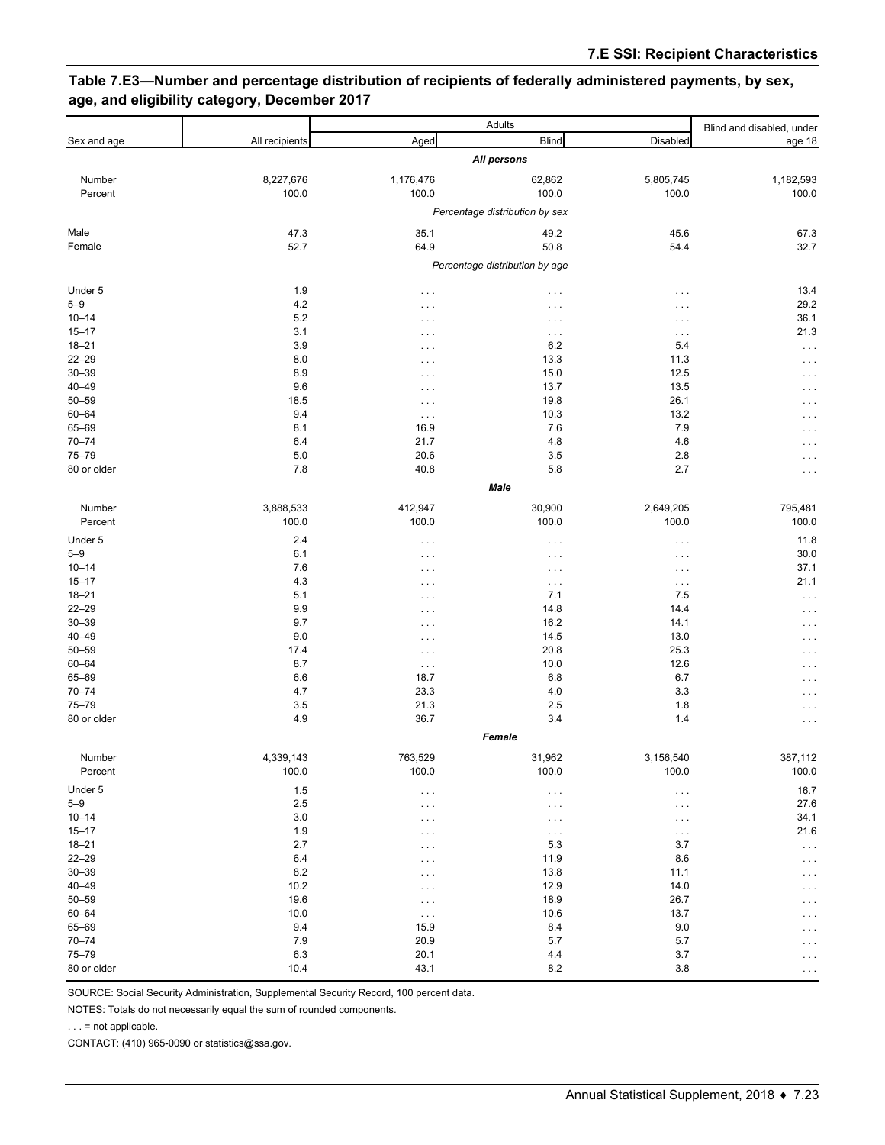## **Table 7.E3—Number and percentage distribution of recipients of federally administered payments, by sex, age, and eligibility category, December 2017**

|                        |                                | Adults                         |                      |                               | Blind and disabled, under |  |  |  |  |
|------------------------|--------------------------------|--------------------------------|----------------------|-------------------------------|---------------------------|--|--|--|--|
| Sex and age            | All recipients                 | Aged                           | <b>Blind</b>         | Disabled                      | age 18                    |  |  |  |  |
|                        |                                |                                | All persons          |                               |                           |  |  |  |  |
| Number                 | 8,227,676                      | 1,176,476                      | 62,862               | 5,805,745                     | 1,182,593                 |  |  |  |  |
| Percent                | 100.0                          | 100.0                          | 100.0                | 100.0                         | 100.0                     |  |  |  |  |
|                        |                                | Percentage distribution by sex |                      |                               |                           |  |  |  |  |
| Male                   | 47.3                           | 35.1                           | 49.2                 | 45.6                          | 67.3                      |  |  |  |  |
| Female                 | 52.7                           | 64.9                           | 50.8                 | 54.4                          | 32.7                      |  |  |  |  |
|                        | Percentage distribution by age |                                |                      |                               |                           |  |  |  |  |
| Under 5                | 1.9                            | $\sim$ $\sim$ $\sim$           | $\ldots$             | $\cdots$                      | 13.4                      |  |  |  |  |
| $5 - 9$                | 4.2                            | $\cdots$                       | $\cdots$             | $\cdots$                      | 29.2                      |  |  |  |  |
| $10 - 14$              | 5.2                            | $\cdots$                       | $\cdots$             | $\ldots$ .                    | 36.1                      |  |  |  |  |
| $15 - 17$              | 3.1                            | $\cdots$                       | $\sim$ $\sim$ $\sim$ | $\sim$ $\sim$ $\sim$          | 21.3                      |  |  |  |  |
| $18 - 21$              | 3.9                            | $\sim$ $\sim$ $\sim$           | 6.2                  | 5.4                           | $\cdots$                  |  |  |  |  |
| $22 - 29$              | 8.0                            | $\sim$ $\sim$ $\sim$           | 13.3                 | 11.3                          | .                         |  |  |  |  |
| $30 - 39$              | 8.9                            | $\cdots$                       | 15.0                 | 12.5                          | .                         |  |  |  |  |
| $40 - 49$              | 9.6                            | $\sim$ $\sim$ $\sim$           | 13.7                 | 13.5                          | $\cdots$                  |  |  |  |  |
| $50 - 59$              | 18.5                           | $\ldots$ .                     | 19.8                 | 26.1                          | $\sim$                    |  |  |  |  |
| $60 - 64$              | 9.4                            | $\sim$ $\sim$ $\sim$           | 10.3                 | 13.2                          | .                         |  |  |  |  |
| 65-69                  | 8.1                            | 16.9                           | 7.6                  | 7.9                           | $\cdots$                  |  |  |  |  |
| $70 - 74$              | 6.4                            | 21.7                           | 4.8                  | 4.6                           | $\cdots$                  |  |  |  |  |
| $75 - 79$              | 5.0                            | 20.6                           | 3.5                  | 2.8                           | .                         |  |  |  |  |
| 80 or older            | 7.8                            | 40.8                           | 5.8<br>Male          | 2.7                           | .                         |  |  |  |  |
|                        |                                |                                |                      |                               |                           |  |  |  |  |
| Number                 | 3,888,533                      | 412,947                        | 30,900               | 2,649,205                     | 795,481                   |  |  |  |  |
| Percent                | 100.0                          | 100.0                          | 100.0                | 100.0                         | 100.0                     |  |  |  |  |
| Under 5                | 2.4                            | $\ldots$ .                     | $\sim$ $\sim$ $\sim$ | $\ldots$                      | 11.8                      |  |  |  |  |
| $5 - 9$                | 6.1                            | $\sim$ $\sim$ $\sim$           | $\cdots$             | $\epsilon \rightarrow \infty$ | 30.0                      |  |  |  |  |
| $10 - 14$              | 7.6                            | $\ldots$ .                     | $\cdots$             | $\sim$ $\sim$ $\sim$          | 37.1                      |  |  |  |  |
| $15 - 17$              | 4.3                            | $\cdots$                       | $\ldots$ .           | $\sim$ $\sim$ $\sim$          | 21.1                      |  |  |  |  |
| $18 - 21$              | 5.1                            | $\sim$ $\sim$ $\sim$           | 7.1                  | 7.5                           | $\cdots$                  |  |  |  |  |
| $22 - 29$              | 9.9                            | $\cdots$                       | 14.8                 | 14.4                          | $\cdots$                  |  |  |  |  |
| $30 - 39$<br>$40 - 49$ | 9.7                            | $\sim$ $\sim$ $\sim$           | 16.2                 | 14.1                          | .                         |  |  |  |  |
| $50 - 59$              | 9.0                            | $\cdots$                       | 14.5                 | 13.0<br>25.3                  | $\cdots$                  |  |  |  |  |
| 60-64                  | 17.4<br>8.7                    | $\ldots$ .                     | 20.8<br>10.0         | 12.6                          | .                         |  |  |  |  |
| 65-69                  | 6.6                            | $\sim$ $\sim$ $\sim$<br>18.7   | 6.8                  | 6.7                           | .                         |  |  |  |  |
| $70 - 74$              | 4.7                            | 23.3                           | 4.0                  | 3.3                           | $\cdots$                  |  |  |  |  |
| $75 - 79$              | 3.5                            | 21.3                           | 2.5                  | 1.8                           | .<br>.                    |  |  |  |  |
| 80 or older            | 4.9                            | 36.7                           | 3.4                  | 1.4                           | .                         |  |  |  |  |
|                        |                                | Female                         |                      |                               |                           |  |  |  |  |
| Number                 | 4,339,143                      | 763,529                        | 31,962               | 3,156,540                     | 387,112                   |  |  |  |  |
| Percent                | 100.0                          | 100.0                          | 100.0                | 100.0                         | 100.0                     |  |  |  |  |
| Under 5                | $1.5\,$                        | $\cdot$                        | $\sim$ $\sim$ $\sim$ | $\ldots$                      | 16.7                      |  |  |  |  |
| $5 - 9$                | 2.5                            | $\cdots$                       | $\cdots$             | $\ldots$ .                    | 27.6                      |  |  |  |  |
| $10 - 14$              | $3.0\,$                        | $\cdots$                       | $\sim$ $\sim$ $\sim$ | $\sim$ $\sim$ $\sim$          | 34.1                      |  |  |  |  |
| $15 - 17$              | 1.9                            | $\sim$ $\sim$ $\sim$           | $\sim$ $\sim$ $\sim$ | $\ldots$                      | 21.6                      |  |  |  |  |
| $18 - 21$              | 2.7                            | $\sim$ $\sim$ $\sim$           | 5.3                  | 3.7                           | $\sim$ $\sim$ $\sim$      |  |  |  |  |
| $22 - 29$              | 6.4                            | $\sim$ $\sim$ $\sim$           | 11.9                 | 8.6                           | $\cdots$                  |  |  |  |  |
| $30 - 39$              | 8.2                            | $\sim$ $\sim$ $\sim$           | 13.8                 | 11.1                          | $\cdots$                  |  |  |  |  |
| $40 - 49$              | 10.2                           | $\sim$ $\sim$ $\sim$           | 12.9                 | 14.0                          | $\cdots$                  |  |  |  |  |
| $50 - 59$              | 19.6                           | $\ldots$                       | 18.9                 | 26.7                          | $\cdots$                  |  |  |  |  |
| $60 - 64$              | 10.0                           | $\sim$ $\sim$ $\sim$           | 10.6                 | 13.7                          | $\cdots$                  |  |  |  |  |
| 65-69                  | 9.4                            | 15.9                           | 8.4                  | 9.0                           | .                         |  |  |  |  |
| $70 - 74$              | 7.9                            | 20.9                           | 5.7                  | 5.7                           | .                         |  |  |  |  |
| 75-79                  | 6.3                            | 20.1                           | 4.4                  | 3.7                           | $\cdots$                  |  |  |  |  |
| 80 or older            | 10.4                           | 43.1                           | 8.2                  | 3.8                           | $\cdots$                  |  |  |  |  |

SOURCE: Social Security Administration, Supplemental Security Record, 100 percent data.

NOTES: Totals do not necessarily equal the sum of rounded components.

. . . = not applicable.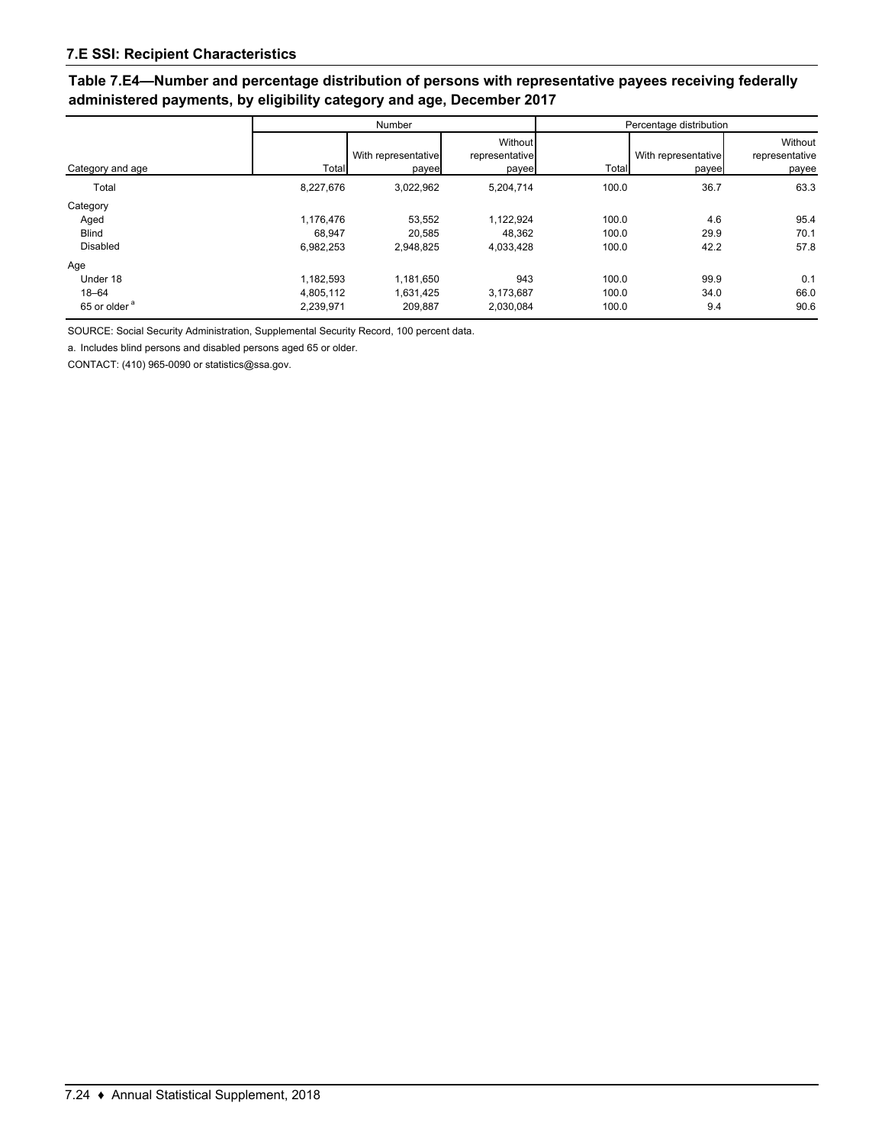## **Table 7.E4—Number and percentage distribution of persons with representative payees receiving federally administered payments, by eligibility category and age, December 2017**

|                                                          | Number                              |                                   |                                    | Percentage distribution |                              |                                    |
|----------------------------------------------------------|-------------------------------------|-----------------------------------|------------------------------------|-------------------------|------------------------------|------------------------------------|
| Category and age                                         | Total                               | With representative<br>payee      | Without<br>representative<br>payee | Total                   | With representative<br>payee | Without<br>representative<br>payee |
| Total                                                    | 8,227,676                           | 3,022,962                         | 5,204,714                          | 100.0                   | 36.7                         | 63.3                               |
| Category<br>Aged<br><b>Blind</b><br><b>Disabled</b>      | 1.176.476<br>68,947<br>6,982,253    | 53,552<br>20,585<br>2.948.825     | 1,122,924<br>48,362<br>4,033,428   | 100.0<br>100.0<br>100.0 | 4.6<br>29.9<br>42.2          | 95.4<br>70.1<br>57.8               |
| Age<br>Under 18<br>$18 - 64$<br>65 or older <sup>a</sup> | 1.182.593<br>4,805,112<br>2,239,971 | 1.181.650<br>1.631.425<br>209.887 | 943<br>3.173.687<br>2,030,084      | 100.0<br>100.0<br>100.0 | 99.9<br>34.0<br>9.4          | 0.1<br>66.0<br>90.6                |

SOURCE: Social Security Administration, Supplemental Security Record, 100 percent data.

a. Includes blind persons and disabled persons aged 65 or older.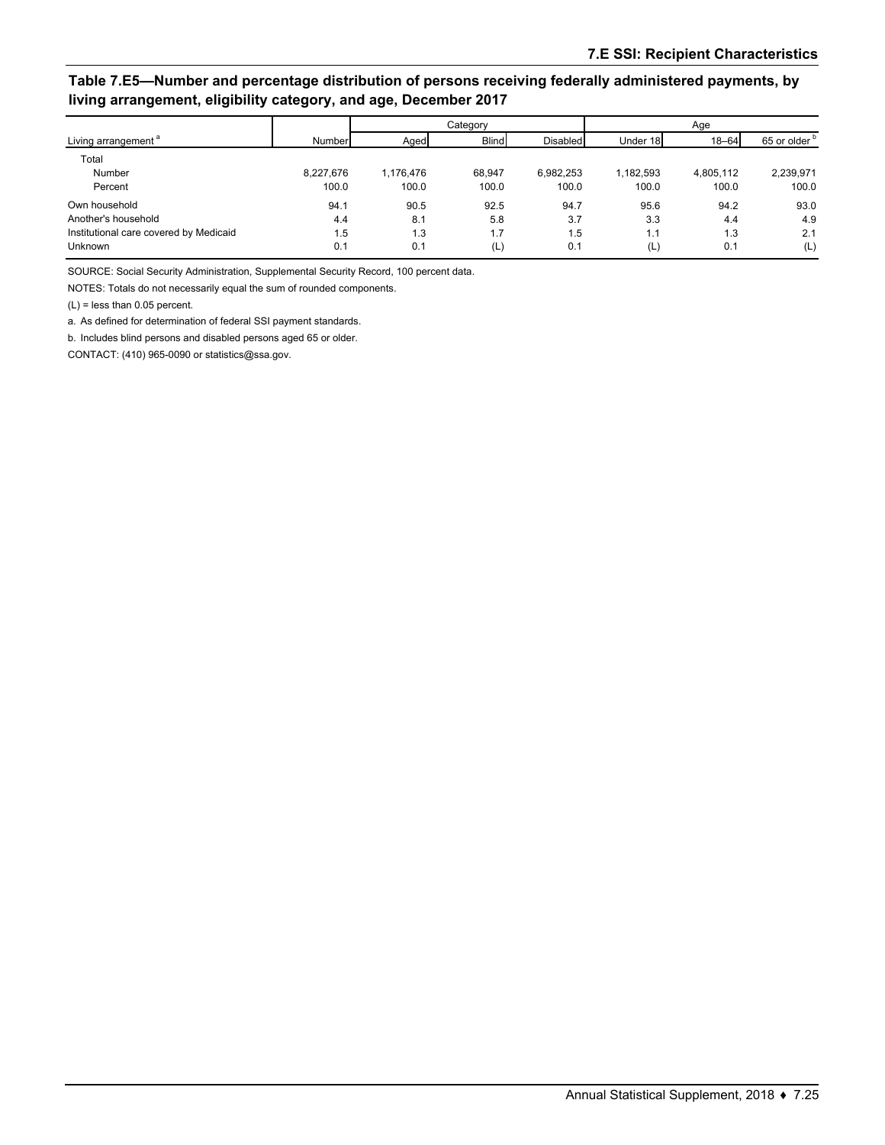## **Table 7.E5—Number and percentage distribution of persons receiving federally administered payments, by living arrangement, eligibility category, and age, December 2017**

|                                        |           | Category  |              |           | Age       |           |                          |
|----------------------------------------|-----------|-----------|--------------|-----------|-----------|-----------|--------------------------|
| Living arrangement <sup>a</sup>        | Number    | Aged      | <b>Blind</b> | Disabled  | Under 18  | $18 - 64$ | 65 or older <sup>b</sup> |
| Total                                  |           |           |              |           |           |           |                          |
| Number                                 | 8,227,676 | 1.176.476 | 68.947       | 6.982.253 | 1,182,593 | 4,805,112 | 2,239,971                |
| Percent                                | 100.0     | 100.0     | 100.0        | 100.0     | 100.0     | 100.0     | 100.0                    |
| Own household                          | 94.1      | 90.5      | 92.5         | 94.7      | 95.6      | 94.2      | 93.0                     |
| Another's household                    | 4.4       | 8.1       | 5.8          | 3.7       | 3.3       | 4.4       | 4.9                      |
| Institutional care covered by Medicaid | 1.5       | 1.3       | 1.7          | 1.5       | 1.1       | 1.3       | 2.1                      |
| <b>Unknown</b>                         | 0.1       | 0.1       | (L)          | 0.1       | (L)       | 0.1       | (L)                      |

SOURCE: Social Security Administration, Supplemental Security Record, 100 percent data.

NOTES: Totals do not necessarily equal the sum of rounded components.

(L) = less than 0.05 percent.

a. As defined for determination of federal SSI payment standards.

b. Includes blind persons and disabled persons aged 65 or older.